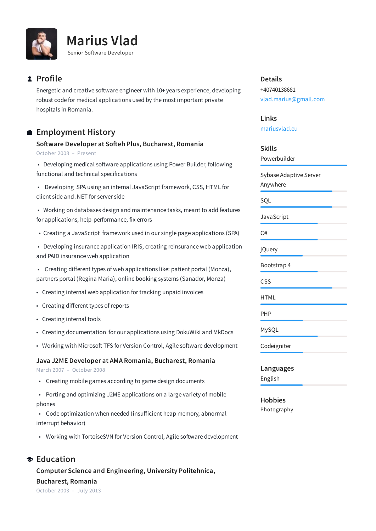



### **Profile**

Energetic and creative software engineer with 10+ years experience, developing robust code for medical applications used by the most important private hospitals in Romania.

# **Employment History**

**Soware Developer at Soeh Plus, Bucharest, Romania** October 2008 – Present

• Developing medical software applications using Power Builder, following functional and technical specifications

• Developing SPA using an internal JavaScript framework, CSS, HTML for client side and .NET for server side

• Working on databases design and maintenance tasks, meant to add features for applications, help-performance, fix errors

- Creating a JavaScript framework used in our single page applications (SPA)
- Developing insurance application IRIS, creating reinsurance web application and PAID insurance web application

• Creating different types of web applications like: patient portal (Monza), partners portal (Regina Maria), online booking systems (Sanador, Monza)

- Creating internal web application for tracking unpaid invoices
- Creating different types of reports
- Creating internal tools
- Creating documentation for our applications using DokuWiki and MkDocs
- Working with Microsoft TFS for Version Control, Agile software development

#### **Java J2ME Developer at AMA Romania, Bucharest, Romania**

March 2007 – October 2008

- Creating mobile games according to game design documents
- Porting and optimizing J2ME applications on a large variety of mobile phones
- Code optimization when needed (insufficient heap memory, abnormal interrupt behavior)
- Working with TortoiseSVN for Version Control, Agile software development

## **Computer Science and Engineering, University Politehnica, Bucharest, Romania Education**

October 2003 – July 2013

#### **Details**

+40740138681 vlad.marius@gmail.com

#### **Links**

[mariusvlad.eu](http://mariusvlad.eu/)

#### **Skills**

Powerbuilder

Sybase Adaptive Server Anywhere

SQL

JavaScript

 $C#$ 

jQuery

Bootstrap 4

CSS

**HTML** 

PHP

MySQL

Codeigniter

**Languages**

English

**Hobbies** Photography